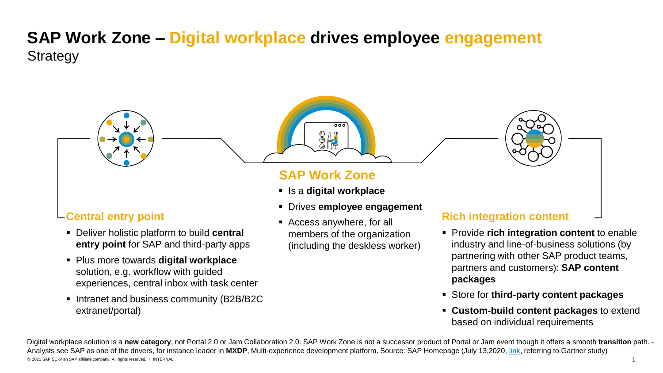## **SAP Work Zone – Digital workplace drives employee engagement** Strategy

## **Central entry point**

- Deliver holistic platform to build **central entry point** for SAP and third-party apps
- Plus more towards **digital workplace**  solution, e.g. workflow with guided experiences, central inbox with task center
- Intranet and business community (B2B/B2C extranet/portal)

## **SAP Work Zone**

 $\frac{1}{2}$ 

▪ Is a **digital workplace**

 $000$ 

- Drives **employee engagement**
- Access anywhere, for all members of the organization (including the deskless worker)

### **Rich integration content**

- Provide **rich integration content** to enable industry and line-of-business solutions (by partnering with other SAP product teams, partners and customers): **SAP content packages**
- Store for **third-party content packages**
- **Custom-build content packages** to extend based on individual requirements

© 2021 SAP SE or an SAP affiliate company. All rights reserved. ǀ INTERNAL 1 Digital workplace solution is a **new category**, not Portal 2.0 or Jam Collaboration 2.0. SAP Work Zone is not a successor product of Portal or Jam event though it offers a smooth **transition** path. - Analysts see SAP as one of the drivers, for instance leader in **MXDP**, Multi-experience development platform, Source: SAP Homepage (July 13,2020, [link](https://www.sap.com/cmp/dg/gartner-mxdp-mq-report/typ.html%20and%20after%20registration%20https:/www.gartner.com/doc/reprints?id=1-1Z7ZPZ33&ct=200610&st=sb), referring to Gartner study)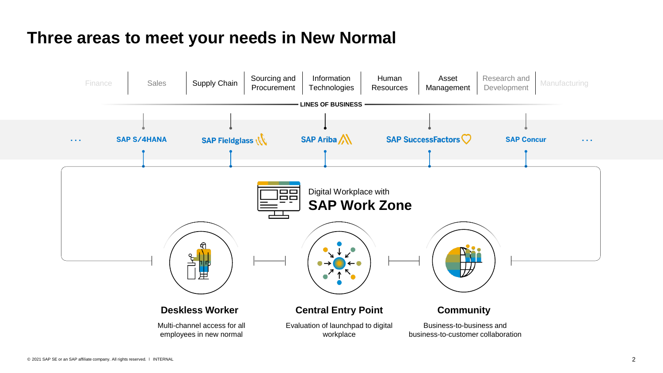# **Three areas to meet your needs in New Normal**

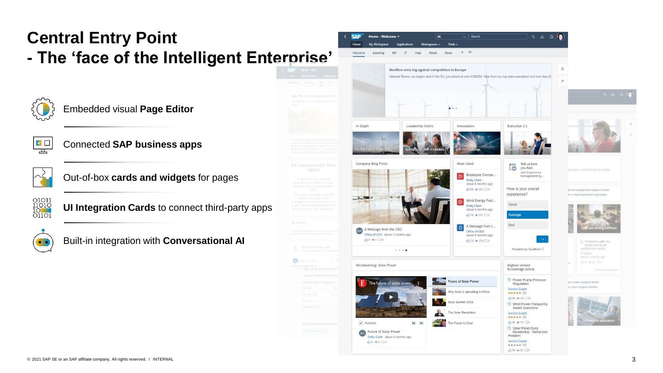# **Central Entry Point - The 'face of the Intelligent Enterprise'**



### Embedded visual **Page Editor**



### Connected **SAP business apps**



### Out-of-box **cards and widgets** for pages



**UI Integration Cards** to connect third-party apps



Built-in integration with **Conversational AI**

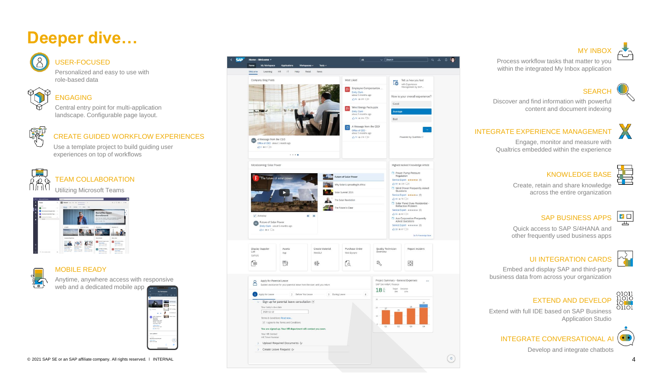# **Deeper dive…**



#### USER -FOCUSED

Personalized and easy to use with role -based data



### ENGAGING

Central entry point for multi -application landscape. Configurable page layout.



CREATE GUIDED WORKFLOW EXPERIENCES

Use a template project to build guiding user experiences on top of workflows



 $\overline{\phantom{0}}$ 

### **FAM COLLABORATION**

Utilizing Microsoft Teams



#### MOBILE READY

Anytime, anywhere access with responsive web and a dedicated mobile app





**MY INBOX** 

Process workflow tasks that matter to you within the integrated My Inbox application



Discover and find information with powerful content and document indexing

### INTEGRATE EXPERIENCE MANAGEM

Engage, monitor and measure with Qualtrics embedded within the experience

#### KNOWLEDGE BASE

Create, retain and share knowledge across the entire organization

#### SAP BUSINESS APPS

Quick access to SAP S/4HANA and other frequently used business apps



 $\blacksquare$ 

#### UI INTEGRATION CARDS

Embed and display SAP and third -party business data from across your organization



Œ

#### EXTEND AND DEVELOP

Extend with full IDE based on SAP Business Application Studio



Develop and integrate chatbots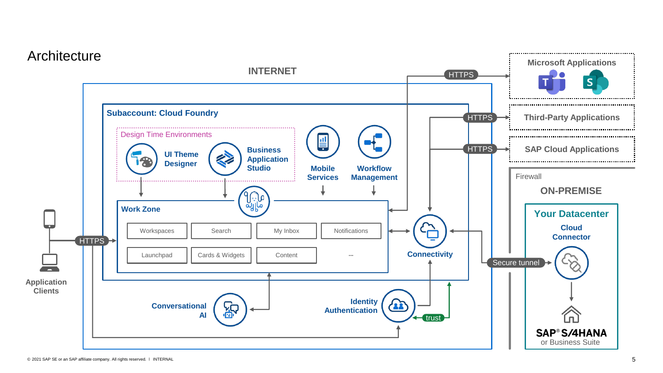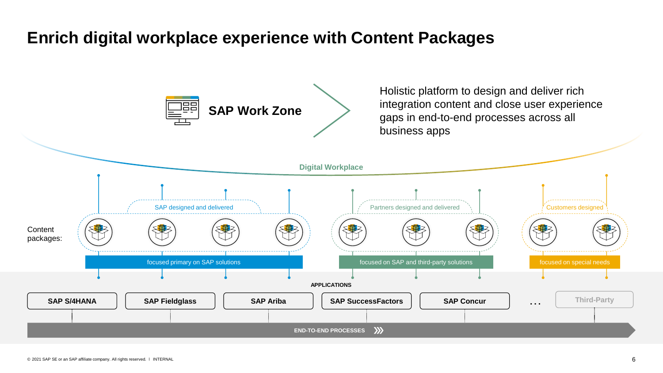# **Enrich digital workplace experience with Content Packages**

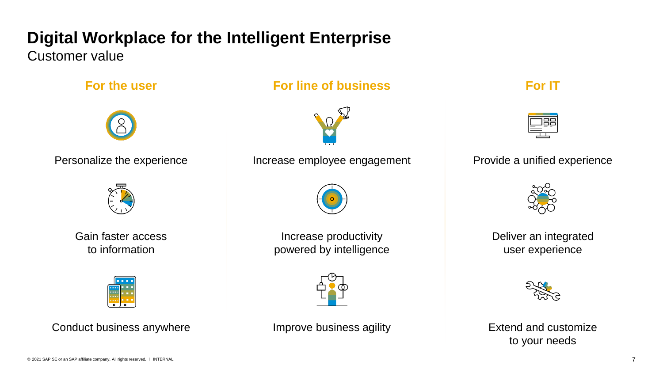# **Digital Workplace for the Intelligent Enterprise**

Customer value





Gain faster access to information



Conduct business anywhere **IMPR** Improve business agility

**For the user For line of business For IT** 



Personalize the experience **Increase employee engagement** Provide a unified experience



Increase productivity powered by intelligence







Deliver an integrated user experience



Extend and customize to your needs